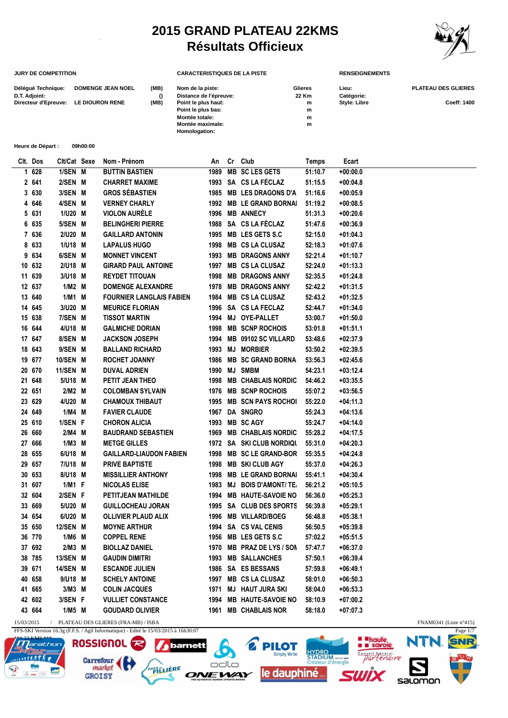## **2015 GRAND PLATEAU 22KMS Résultats Officieux**

**CARACTERISTIQUES DE LA PISTE RENSEIGNEMENTS**<br> **CARACTERISTIQUES DE LA PISTE** RENSEIGNEMENTS



| Délégué Technique:<br>D.T. Adjoint:<br>Directeur d'Epreuve: |                   |          |              | (MB)<br><b>DOMENGE JEAN NOEL</b><br>$\Omega$<br>LE DIOURON RENE<br>(MB) | Nom de la piste:<br>Distance de l'épreuve:<br>Point le plus haut:<br>Point le plus bas:<br>Montée totale:<br>Montée maximale:<br>Homologation: |      |    |                             | Glieres<br>22 Km<br>m<br>m<br>m<br>${\bf m}$ | Lieu:<br>Catégorie:<br>Style: Libre | PLATEAU DES GLIERES<br>Coeff: 1400 |
|-------------------------------------------------------------|-------------------|----------|--------------|-------------------------------------------------------------------------|------------------------------------------------------------------------------------------------------------------------------------------------|------|----|-----------------------------|----------------------------------------------|-------------------------------------|------------------------------------|
|                                                             | Heure de Départ : |          | 09h00:00     |                                                                         |                                                                                                                                                |      |    |                             |                                              |                                     |                                    |
| Clt. Dos                                                    |                   |          | Clt/Cat Sexe | Nom - Prénom                                                            |                                                                                                                                                | An   |    | Cr Club                     | Temps                                        | Ecart                               |                                    |
| 628<br>1                                                    | 1/SEN M           |          |              | <b>BUTTIN BASTIEN</b>                                                   |                                                                                                                                                | 1989 |    | <b>MB SC LES GETS</b>       | 51:10.7                                      | $+00:00.0$                          |                                    |
| 2 641                                                       | 2/SEN M           |          |              | <b>CHARRET MAXIME</b>                                                   |                                                                                                                                                | 1993 |    | SA CS LA FÉCLAZ             | 51:15.5                                      | $+00:04.8$                          |                                    |
| 3 630                                                       | 3/SEN M           |          |              | <b>GROS SÉBASTIEN</b>                                                   |                                                                                                                                                | 1985 |    | <b>MB LES DRAGONS D'A</b>   | 51:16.6                                      | $+00:05.9$                          |                                    |
| 646<br>4                                                    | 4/SEN M           |          |              | <b>VERNEY CHARLY</b>                                                    |                                                                                                                                                | 1992 |    | <b>MB LE GRAND BORNAI</b>   | 51:19.2                                      | $+00:08.5$                          |                                    |
| 5 631                                                       |                   | 1/U20 M  |              | <b>VIOLON AURÈLE</b>                                                    |                                                                                                                                                | 1996 |    | <b>MB ANNECY</b>            | 51:31.3                                      | $+00:20.6$                          |                                    |
| 635<br>6                                                    |                   | 5/SEN M  |              | <b>BELINGHERI PIERRE</b>                                                |                                                                                                                                                | 1988 |    | SA CS LA FÉCLAZ             | 51:47.6                                      | $+00:36.9$                          |                                    |
| 7 636                                                       |                   | 2/U20 M  |              | <b>GAILLARD ANTONIN</b>                                                 |                                                                                                                                                | 1995 |    | MB LES GETS S.C             | 52:15.0                                      | $+01:04.3$                          |                                    |
| 633<br>8                                                    |                   | 1/U18 M  |              | <b>LAPALUS HUGO</b>                                                     |                                                                                                                                                | 1998 |    | <b>MB CS LA CLUSAZ</b>      | 52:18.3                                      | $+01:07.6$                          |                                    |
| 634<br>9                                                    | 6/SEN M           |          |              | <b>MONNET VINCENT</b>                                                   |                                                                                                                                                | 1993 |    | <b>MB DRAGONS ANNY</b>      | 52:21.4                                      | $+01:10.7$                          |                                    |
| 10 632                                                      |                   | 2/U18 M  |              | <b>GIRARD PAUL ANTOINE</b>                                              |                                                                                                                                                | 1997 |    | <b>MB CS LA CLUSAZ</b>      | 52:24.0                                      | $+01:13.3$                          |                                    |
| 639<br>11                                                   |                   | 3/U18 M  |              | <b>REYDET TITOUAN</b>                                                   |                                                                                                                                                | 1998 |    | <b>MB DRAGONS ANNY</b>      | 52:35.5                                      | $+01:24.8$                          |                                    |
| 12 637                                                      |                   | $1/M2$ M |              | <b>DOMENGE ALEXANDRE</b>                                                |                                                                                                                                                | 1978 |    | <b>MB DRAGONS ANNY</b>      | 52:42.2                                      | $+01:31.5$                          |                                    |
| 13 640                                                      |                   | $1/M1$ M |              | <b>FOURNIER LANGLAIS FABIEN</b>                                         |                                                                                                                                                | 1984 |    | <b>MB CS LA CLUSAZ</b>      | 52:43.2                                      | $+01:32.5$                          |                                    |
| 14 645                                                      |                   | 3/U20 M  |              | <b>MEURICE FLORIAN</b>                                                  |                                                                                                                                                | 1996 |    | SA CS LA FECLAZ             | 52:44.7                                      | $+01:34.0$                          |                                    |
| 15 638                                                      | 7/SEN M           |          |              | TISSOT MARTIN                                                           |                                                                                                                                                | 1994 |    | MJ OYE-PALLET               | 53:00.7                                      | $+01:50.0$                          |                                    |
| 16                                                          | 644               | 4/U18 M  |              | <b>GALMICHE DORIAN</b>                                                  |                                                                                                                                                | 1998 |    | <b>MB SCNP ROCHOIS</b>      | 53:01.8                                      | $+01:51.1$                          |                                    |
| 17 647                                                      | 8/SEN M           |          |              | <b>JACKSON JOSEPH</b>                                                   |                                                                                                                                                | 1994 |    | MB 09102 SC VILLARD         | 53:48.6                                      | $+02:37.9$                          |                                    |
| 18<br>643                                                   | 9/SEN M           |          |              | <b>BALLAND RICHARD</b>                                                  |                                                                                                                                                | 1993 | MJ | <b>MORBIER</b>              | 53:50.2                                      | $+02:39.5$                          |                                    |
| 19<br>677                                                   | 10/SEN M          |          |              | <b>ROCHET JOANNY</b>                                                    |                                                                                                                                                | 1986 |    | <b>MB SC GRAND BORNA</b>    | 53:56.3                                      | $+02:45.6$                          |                                    |
| 670<br>20                                                   | 11/SEN M          |          |              | DUVAL ADRIEN                                                            |                                                                                                                                                | 1990 | MJ | <b>SMBM</b>                 | 54:23.1                                      | $+03:12.4$                          |                                    |
| 21<br>648                                                   |                   | 5/U18 M  |              | PETIT JEAN THEO                                                         |                                                                                                                                                | 1998 |    | <b>MB CHABLAIS NORDIC</b>   | 54:46.2                                      | $+03:35.5$                          |                                    |
| 22 651                                                      |                   | 2/M2 M   |              | <b>COLOMBAN SYLVAIN</b>                                                 |                                                                                                                                                | 1976 |    | <b>MB SCNP ROCHOIS</b>      | 55:07.2                                      | $+03:56.5$                          |                                    |
| 23<br>629                                                   |                   | 4/U20 M  |              | <b>CHAMOUX THIBAUT</b>                                                  |                                                                                                                                                | 1995 |    | <b>MB SCN PAYS ROCHOL</b>   | 55:22.0                                      | $+04:11.3$                          |                                    |
| 24 649                                                      |                   | $1/M4$ M |              | <b>FAVIER CLAUDE</b>                                                    |                                                                                                                                                | 1967 |    | DA SNGRO                    | 55:24.3                                      | $+04:13.6$                          |                                    |
| 25 610                                                      | 1/SEN F           |          |              | <b>CHORON ALICIA</b>                                                    |                                                                                                                                                | 1993 |    | <b>MB SCAGY</b>             | 55:24.7                                      | $+04:14.0$                          |                                    |
| 26 660                                                      |                   | 2/M4 M   |              | <b>BAUDRAND SEBASTIEN</b>                                               |                                                                                                                                                | 1969 |    | <b>MB CHABLAIS NORDIC</b>   | 55:28.2                                      | $+04:17.5$                          |                                    |
| 27 666                                                      |                   | $1/M3$ M |              | <b>METGE GILLES</b>                                                     |                                                                                                                                                | 1972 |    | <b>SA SKI CLUB NORDIQUE</b> | 55:31.0                                      | $+04:20.3$                          |                                    |
| 28 655                                                      |                   | 6/U18 M  |              | <b>GAILLARD-LIAUDON FABIEN</b>                                          |                                                                                                                                                | 1998 |    | <b>MB SC LE GRAND-BOR</b>   | 55:35.5                                      | $+04:24.8$                          |                                    |
| 29 657                                                      |                   | 7/U18 M  |              | <b>PRIVE BAPTISTE</b>                                                   |                                                                                                                                                |      |    | 1998 MB SKI CLUB AGY        | 55:37.0                                      | $+04:26.3$                          |                                    |
| 30 653                                                      |                   | 8/U18 M  |              | <b>MISSILLIER ANTHONY</b>                                               |                                                                                                                                                | 1998 |    | <b>MB LE GRAND BORNAI</b>   | 55:41.1                                      | $+04:30.4$                          |                                    |
| 31 607                                                      |                   | 1/M1 F   |              | <b>NICOLAS ELISE</b>                                                    |                                                                                                                                                | 1983 |    | <b>MJ BOIS D'AMONT/TE.</b>  | 56:21.2                                      | $+05:10.5$                          |                                    |
| 32 604                                                      | 2/SEN F           |          |              | PETITJEAN MATHILDE                                                      |                                                                                                                                                | 1994 |    | <b>MB HAUTE-SAVOIE NO</b>   | 56:36.0                                      | $+05:25.3$                          |                                    |
| 33 669                                                      |                   | 5/U20 M  |              | <b>GUILLOCHEAU JORAN</b>                                                |                                                                                                                                                | 1995 |    | SA CLUB DES SPORTS          | 56:39.8                                      | $+05:29.1$                          |                                    |
| 34 654                                                      |                   | 6/U20 M  |              | <b>OLLIVIER PLAUD ALIX</b>                                              |                                                                                                                                                | 1996 |    | <b>MB VILLARD/BOEG</b>      | 56:48.8                                      | $+05:38.1$                          |                                    |
| 35 650                                                      | 12/SEN M          |          |              | <b>MOYNE ARTHUR</b>                                                     |                                                                                                                                                |      |    | 1994 SA CS VAL CENIS        | 56:50.5                                      | $+05:39.8$                          |                                    |
| 36 770                                                      |                   | 1/M6 M   |              | <b>COPPEL RENE</b>                                                      |                                                                                                                                                | 1956 |    | MB LES GETS S.C             | 57:02.2                                      | $+05:51.5$                          |                                    |
| 37 692                                                      |                   | 2/M3 M   |              | <b>BIOLLAZ DANIEL</b>                                                   |                                                                                                                                                | 1970 |    | MB PRAZ DE LYS / SON        | 57:47.7                                      | $+06:37.0$                          |                                    |

**38 785 13/SEN M GAUDIN DIMITRI 1993 MB SALLANCHES 57:50.1 +06:39.4 39 671 14/SEN M ESCANDE JULIEN 1986 SA ES BESSANS 57:59.8 +06:49.1 40 658 9/U18 M SCHELY ANTOINE 1997 MB CS LA CLUSAZ 58:01.0 +06:50.3 41 665 3/M3 M COLIN JACQUES 1971 MJ HAUT JURA SKI 58:04.0 +06:53.3 42 602 3/SEN F VULLIET CONSTANCE 1994 MB HAUTE-SAVOIE NORDIC TEAM 58:10.9 +07:00.2 43 664 1/M5 M GOUDARD OLIVIER 1961 MB CHABLAIS NOR 58:18.0 +07:07.3**

barnett

ΩŊ

**EWA** 

**IFRE Yáfi** 

**PILOT** 

le dauphiné

HYDRO<br>STADIUM

15/03/2015 / PLATEAU DES GLIERES (FRA-MB) / ISBA FNAM0341 (Liste n°415)

FFS-SKI Version 16.3g (F.F.S. / Agil Informatique) - Edité le 15/03/2015 à 16h30:07



**E Phaute**<br>**E E** savoie

tengire

Sal OMOO

Page 1/7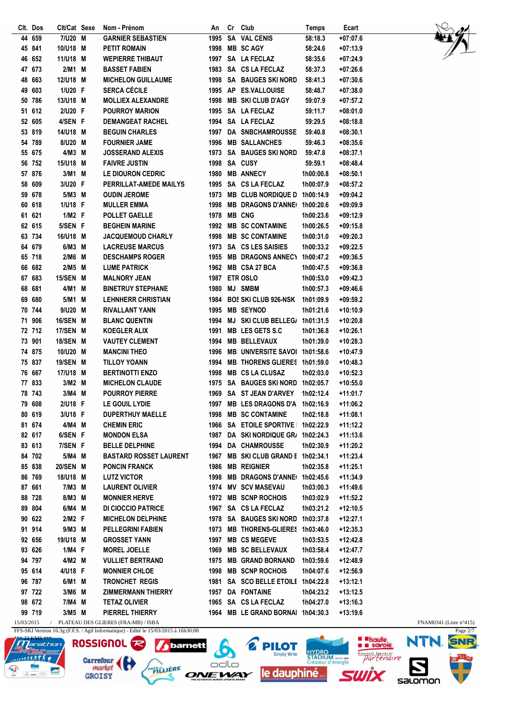|    | Clt. Dos | Clt/Cat Sexe |   | Nom - Prénom                  | An   | Cr | Club                               | <b>Temps</b> | Ecart      |
|----|----------|--------------|---|-------------------------------|------|----|------------------------------------|--------------|------------|
| 44 | 659      | 7/U20 M      |   | <b>GARNIER SEBASTIEN</b>      | 1995 |    | SA VAL CENIS                       | 58:18.3      | $+07:07.6$ |
|    | 45 841   | 10/U18 M     |   | <b>PETIT ROMAIN</b>           | 1998 |    | <b>MB SCAGY</b>                    | 58:24.6      | $+07:13.9$ |
|    | 46 652   | 11/U18 M     |   | <b>WEPIERRE THIBAUT</b>       | 1997 |    | SA LA FECLAZ                       | 58:35.6      | $+07:24.9$ |
|    | 47 673   | 2/M1 M       |   | <b>BASSET FABIEN</b>          | 1983 |    | SA CS LA FECLAZ                    | 58:37.3      | $+07:26.6$ |
|    | 48 663   | 12/U18 M     |   | <b>MICHELON GUILLAUME</b>     | 1998 |    | <b>SA BAUGES SKI NORD</b>          | 58:41.3      | $+07:30.6$ |
| 49 | 603      | 1/U20 F      |   | <b>SERCA CÉCILE</b>           |      |    | 1995 AP ES.VALLOUISE               | 58:48.7      | $+07:38.0$ |
|    | 50 786   | 13/U18 M     |   | <b>MOLLIEX ALEXANDRE</b>      | 1998 |    | <b>MB SKI CLUB D'AGY</b>           | 59:07.9      | $+07:57.2$ |
|    | 51 612   | 2/U20 F      |   | <b>POURROY MARION</b>         | 1995 |    | SA LA FECLAZ                       | 59:11.7      | $+08:01.0$ |
|    | 52 605   | 4/SEN F      |   | <b>DEMANGEAT RACHEL</b>       |      |    | 1994 SA LA FECLAZ                  | 59:29.5      | $+08:18.8$ |
|    | 53 819   | 14/U18 M     |   | <b>BEGUIN CHARLES</b>         | 1997 |    | <b>DA SNBCHAMROUSSE</b>            | 59:40.8      | $+08:30.1$ |
|    | 54 789   | 8/U20 M      |   | <b>FOURNIER JAME</b>          | 1996 |    | <b>MB SALLANCHES</b>               | 59:46.3      | +08:35.6   |
|    | 55 675   | 4/M3 M       |   | <b>JOSSERAND ALEXIS</b>       | 1973 |    | <b>SA BAUGES SKI NORD</b>          | 59:47.8      | $+08:37.1$ |
|    | 56 752   | 15/U18 M     |   | <b>FAIVRE JUSTIN</b>          | 1998 |    | SA CUSY                            | 59:59.1      | +08:48.4   |
|    | 57 876   | 3/M1 M       |   | LE DIOURON CEDRIC             | 1980 |    | <b>MB ANNECY</b>                   | 1h00:00.8    | $+08:50.1$ |
| 58 | 609      | 3/U20 F      |   | PERRILLAT-AMEDE MAILYS        | 1995 |    | SA CS LA FECLAZ                    | 1h00:07.9    | $+08:57.2$ |
|    | 59 678   | 5/M3 M       |   | <b>OUDIN JEROME</b>           | 1973 |    | <b>MB CLUB NORDIQUE D</b>          | 1h00:14.9    | $+09:04.2$ |
|    | 60 618   | 1/U18 F      |   | <b>MULLER EMMA</b>            | 1998 |    | <b>MB DRAGONS D'ANNE</b>           | 1h00:20.6    | $+09:09.9$ |
|    | 61 621   | 1/M2 F       |   | <b>POLLET GAELLE</b>          | 1978 |    | <b>MB CNG</b>                      | 1h00:23.6    | $+09:12.9$ |
|    | 62 615   | 5/SEN F      |   | <b>BEGHEIN MARINE</b>         | 1992 |    | <b>MB SC CONTAMINE</b>             | 1h00:26.5    | $+09:15.8$ |
|    | 63 734   | 16/U18 M     |   | <b>JACQUEMOUD CHARLY</b>      | 1998 |    | <b>MB SC CONTAMINE</b>             | 1h00:31.0    | $+09:20.3$ |
|    | 64 679   | 6/M3 M       |   | <b>LACREUSE MARCUS</b>        | 1973 |    | <b>SA CS LES SAISIES</b>           | 1h00:33.2    | $+09:22.5$ |
|    | 65 718   | 2/M6 M       |   | <b>DESCHAMPS ROGER</b>        |      |    | <b>MB DRAGONS ANNECT</b>           |              |            |
|    |          |              |   |                               | 1955 |    |                                    | 1h00:47.2    | $+09:36.5$ |
|    | 66 682   | 2/M5 M       |   | <b>LUME PATRICK</b>           |      |    | 1962 MB CSA 27 BCA                 | 1h00:47.5    | $+09:36.8$ |
|    | 67 683   | 15/SEN M     |   | <b>MALNORY JEAN</b>           | 1987 |    | <b>ETR OSLO</b>                    | 1h00:53.0    | $+09:42.3$ |
|    | 68 681   | 4/M1 M       |   | <b>BINETRUY STEPHANE</b>      | 1980 |    | <b>MJ SMBM</b>                     | 1h00:57.3    | $+09:46.6$ |
|    | 69 680   | 5/M1         | M | <b>LEHNHERR CHRISTIAN</b>     | 1984 |    | <b>BOS SKI CLUB 926-NSK</b>        | 1h01:09.9    | $+09:59.2$ |
|    | 70 744   | 9/U20 M      |   | RIVALLANT YANN                | 1995 |    | <b>MB SEYNOD</b>                   | 1h01:21.6    | $+10:10.9$ |
|    | 71 906   | 16/SEN M     |   | <b>BLANC QUENTIN</b>          | 1994 |    | <b>MJ SKI CLUB BELLEG/</b>         | 1h01:31.5    | $+10:20.8$ |
|    | 72 712   | 17/SEN M     |   | <b>KOEGLER ALIX</b>           | 1991 |    | MB LES GETS S.C                    | 1h01:36.8    | $+10:26.1$ |
|    | 73 901   | 18/SEN M     |   | <b>VAUTEY CLEMENT</b>         | 1994 |    | <b>MB BELLEVAUX</b>                | 1h01:39.0    | $+10:28.3$ |
|    | 74 875   | 10/U20 M     |   | <b>MANCINI THEO</b>           | 1996 |    | <b>MB UNIVERSITE SAVOI</b>         | 1h01:58.6    | +10:47.9   |
|    | 75 837   | 19/SEN M     |   | <b>TILLOY YOANN</b>           | 1994 |    | <b>MB THORENS GLIERES</b>          | 1h01:59.0    | +10:48.3   |
|    | 76 667   | 17/U18 M     |   | <b>BERTINOTTI ENZO</b>        | 1998 |    | <b>MB CS LA CLUSAZ</b>             | 1h02:03.0    | +10:52.3   |
|    | 77 833   | 3/M2 M       |   | <b>MICHELON CLAUDE</b>        | 1975 |    | SA BAUGES SKI NORD 1h02:05.7       |              | $+10:55.0$ |
| 78 | 743      | 3/M4 M       |   | <b>POURROY PIERRE</b>         | 1969 |    | SA ST JEAN D'ARVEY                 | 1h02:12.4    | +11:01.7   |
|    | 79 608   | 2/U18 F      |   | <b>LE GOUIL LYDIE</b>         |      |    | 1997 MB LES DRAGONS D'A            | 1h02:16.9    | $+11:06.2$ |
|    | 80 619   | 3/U18 F      |   | <b>DUPERTHUY MAELLE</b>       |      |    | 1998 MB SC CONTAMINE               | 1h02:18.8    | +11:08.1   |
|    | 81 674   | 4/M4 M       |   | <b>CHEMIN ERIC</b>            |      |    | 1966 SA ETOILE SPORTIVE 1h02:22.9  |              | $+11:12.2$ |
|    | 82 617   | 6/SEN F      |   | <b>MONDON ELSA</b>            |      |    | 1987 DA SKI NORDIQUE GR/ 1h02:24.3 |              | $+11:13.6$ |
|    | 83 613   | 7/SEN F      |   | <b>BELLE DELPHINE</b>         |      |    | 1994 DA CHAMROUSSE                 | 1h02:30.9    | $+11:20.2$ |
|    | 84 702   | 5/M4 M       |   | <b>BASTARD ROSSET LAURENT</b> |      |    | 1967 MB SKI CLUB GRAND E 1h02:34.1 |              | $+11:23.4$ |
|    | 85 838   | 20/SEN M     |   | <b>PONCIN FRANCK</b>          |      |    | 1986 MB REIGNIER                   | 1h02:35.8    | $+11:25.1$ |
|    | 86 769   | 18/U18 M     |   | <b>LUTZ VICTOR</b>            |      |    | 1998 MB DRAGONS D'ANNE 1h02:45.6   |              | $+11:34.9$ |
|    | 87 661   | 7/M3 M       |   | <b>LAURENT OLIVIER</b>        |      |    | 1974 MV SCV MASEVAU                | 1h03:00.3    | +11:49.6   |
|    | 88 728   | 8/M3 M       |   | <b>MONNIER HERVE</b>          |      |    | 1972 MB SCNP ROCHOIS               | 1h03:02.9    | $+11:52.2$ |
|    | 89 804   | 6/M4 M       |   | DI CIOCCIO PATRICE            |      |    | 1967 SA CS LA FECLAZ               | 1h03:21.2    | $+12:10.5$ |
|    | 90 622   | 2/M2 F       |   | <b>MICHELON DELPHINE</b>      |      |    | 1978 SA BAUGES SKI NORD 1h03:37.8  |              | $+12:27.1$ |
|    | 91 914   | 9/M3 M       |   | <b>PELLEGRINI FABIEN</b>      |      |    | 1973 MB THORENS-GLIERES 1h03:46.0  |              | $+12:35.3$ |
|    | 92 656   | 19/U18 M     |   | <b>GROSSET YANN</b>           |      |    | 1997 MB CS MEGEVE                  | 1h03:53.5    | +12:42.8   |
|    | 93 626   | 1/M4 F       |   | <b>MOREL JOELLE</b>           |      |    | 1969 MB SC BELLEVAUX               | 1h03:58.4    | +12:47.7   |
|    | 94 797   | 4/M2 M       |   | <b>VULLIET BERTRAND</b>       |      |    | 1975 MB GRAND BORNAND              | 1h03:59.6    | +12:48.9   |
|    | 95 614   | 4/U18 F      |   | <b>MONNIER CHLOE</b>          |      |    | 1998 MB SCNP ROCHOIS               | 1h04:07.6    | $+12:56.9$ |
|    | 96 787   | 6/M1 M       |   | TRONCHET REGIS                |      |    | 1981 SA SCO BELLE ETOILE 1h04:22.8 |              | $+13:12.1$ |
|    | 97 722   | 3/M6 M       |   | <b>ZIMMERMANN THIERRY</b>     |      |    | 1957 DA FONTAINE                   | 1h04:23.2    | $+13:12.5$ |
|    | 98 672   | 7/M4 M       |   | <b>TETAZ OLIVIER</b>          |      |    | 1965 SA CS LA FECLAZ               | 1h04:27.0    | $+13:16.3$ |
|    | 99 719   | 3/M5 M       |   | PIERREL THIERRY               |      |    | 1964 MB LE GRAND BORNAl 1h04:30.3  |              | $+13:19.6$ |
|    |          |              |   |                               |      |    |                                    |              |            |

*b*arnett

PAYS LIERE

**C PILOT** 

ONEWAY le dauphiné





Carrefour

**GROISY** 



 $\overline{a}$ 

FNAM0341 (Liste n°415)<br>Page  $2/7$ **SNR** NTN.  $\sum_{s$ alomon

**Inquire**<br> **Savoie**<br> *Consul Général re*<br> *Partenaire* 

**SWİX** 

**HYDRO**<br>STADIUM GRIPE OF<br>Créateur d'énergie

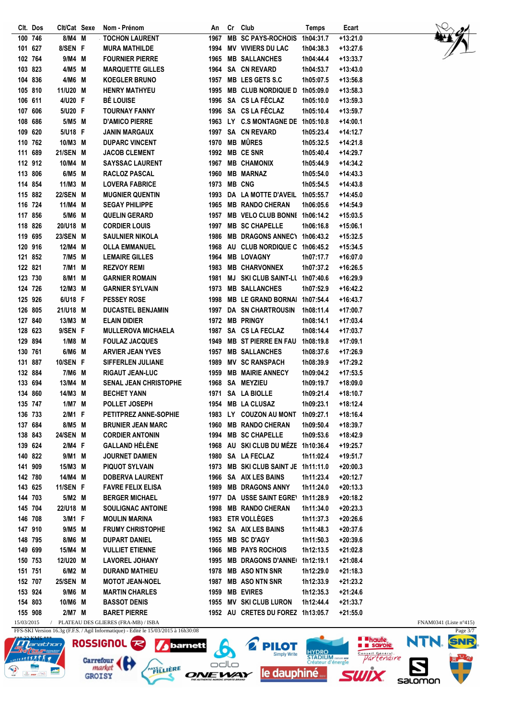| Clt. Dos | Clt/Cat Sexe  |   | Nom - Prénom                 | An   | Cr        | Club                                | <b>Temps</b> | Ecart      |
|----------|---------------|---|------------------------------|------|-----------|-------------------------------------|--------------|------------|
| 100 746  | 8/M4          | M | <b>TOCHON LAURENT</b>        | 1967 | <b>MB</b> | <b>SC PAYS-ROCHOIS</b>              | 1h04:31.7    | $+13:21.0$ |
| 101 627  | 8/SEN F       |   | <b>MURA MATHILDE</b>         | 1994 |           | <b>MV VIVIERS DU LAC</b>            | 1h04:38.3    | $+13:27.6$ |
| 102 764  | 9/M4 M        |   | <b>FOURNIER PIERRE</b>       | 1965 |           | <b>MB SALLANCHES</b>                | 1h04:44.4    | $+13:33.7$ |
| 103 823  | 4/M5          | M | <b>MARQUETTE GILLES</b>      |      |           | 1964 SA CN REVARD                   | 1h04:53.7    | $+13:43.0$ |
| 104 836  | 4/M6          | M | <b>KOEGLER BRUNO</b>         |      |           | 1957 MB LES GETS S.C                | 1h05:07.5    | $+13:56.8$ |
| 105 810  | 11/U20        | M | <b>HENRY MATHYEU</b>         | 1995 |           | <b>MB CLUB NORDIQUE D</b>           | 1h05:09.0    | $+13:58.3$ |
| 106 611  | 4/U20 F       |   | <b>BÉ LOUISE</b>             | 1996 |           | SA CS LA FÉCLAZ                     | 1h05:10.0    | $+13:59.3$ |
| 107 606  | 5/U20 F       |   | <b>TOURNAY FANNY</b>         | 1996 |           | SA CS LA FÉCLAZ                     | 1h05:10.4    | $+13:59.7$ |
| 108 686  | 5/M5 M        |   | <b>D'AMICO PIERRE</b>        |      |           | 1963 LY C.S MONTAGNE DE             | 1h05:10.8    | $+14:00.1$ |
| 109 620  | 5/U18 F       |   | <b>JANIN MARGAUX</b>         | 1997 |           | <b>SA CN REVARD</b>                 | 1h05:23.4    | $+14:12.7$ |
| 110 762  | 10/M3         | M | <b>DUPARC VINCENT</b>        | 1970 |           | <b>MB MÛRES</b>                     | 1h05:32.5    | $+14:21.8$ |
| 111 689  | <b>21/SEN</b> | M | <b>JACOB CLEMENT</b>         | 1992 |           | <b>MB CESNR</b>                     | 1h05:40.4    | $+14:29.7$ |
| 112 912  | 10/M4         | M | <b>SAYSSAC LAURENT</b>       | 1967 |           | <b>MB CHAMONIX</b>                  | 1h05:44.9    | $+14:34.2$ |
| 113 806  | 6/M5          | M | RACLOZ PASCAL                | 1960 |           | <b>MB MARNAZ</b>                    | 1h05:54.0    | $+14:43.3$ |
| 114 854  | 11/M3         | M | <b>LOVERA FABRICE</b>        | 1973 |           | <b>MB CNG</b>                       | 1h05:54.5    | $+14:43.8$ |
| 115 882  | <b>22/SEN</b> | M | <b>MUGNIER QUENTIN</b>       | 1993 |           | DA LA MOTTE D'AVEIL                 | 1h05:55.7    | $+14:45.0$ |
| 116 724  | 11/M4         | M | <b>SEGAY PHILIPPE</b>        | 1965 |           | <b>MB RANDO CHERAN</b>              | 1h06:05.6    | $+14:54.9$ |
| 117 856  | 5/M6          | M | <b>QUELIN GERARD</b>         | 1957 |           | <b>MB VELO CLUB BONNI</b>           | 1h06:14.2    | $+15:03.5$ |
| 118 826  | 20/U18        | M | <b>CORDIER LOUIS</b>         | 1997 |           | <b>MB SC CHAPELLE</b>               | 1h06:16.8    | +15:06.1   |
| 119 695  | <b>23/SEN</b> | M | <b>SAULNIER NIKOLA</b>       | 1986 |           | <b>MB DRAGONS ANNECT</b>            | 1h06:43.2    | $+15:32.5$ |
| 120 916  | 12/M4         | M | <b>OLLA EMMANUEL</b>         | 1968 |           | AU CLUB NORDIQUE C                  | 1h06:45.2    | $+15:34.5$ |
| 121 852  | 7/M5 M        |   | <b>LEMAIRE GILLES</b>        | 1964 |           | <b>MB LOVAGNY</b>                   | 1h07:17.7    | $+16:07.0$ |
| 122 821  | 7/M1          | M | <b>REZVOY REMI</b>           | 1983 |           | <b>MB CHARVONNEX</b>                | 1h07:37.2    | $+16:26.5$ |
| 123 730  | 8/M1          | M | <b>GARNIER ROMAIN</b>        | 1981 |           | <b>MJ SKICLUB SAINT-LL</b>          | 1h07:40.6    | $+16:29.9$ |
| 124 726  | 12/M3         | M | <b>GARNIER SYLVAIN</b>       | 1973 |           | <b>MB SALLANCHES</b>                | 1h07:52.9    | $+16:42.2$ |
|          |               |   |                              |      |           |                                     |              |            |
| 125 926  | 6/U18 F       |   | <b>PESSEY ROSE</b>           | 1998 |           | <b>MB LE GRAND BORNAL</b>           | 1h07:54.4    | $+16:43.7$ |
| 126 805  | 21/U18 M      |   | <b>DUCASTEL BENJAMIN</b>     |      |           | 1997 DA SN CHARTROUSIN              | 1h08:11.4    | $+17:00.7$ |
| 127 840  | 13/M3         | M | <b>ELAIN DIDIER</b>          |      |           | 1972 MB PRINGY                      | 1h08:14.1    | $+17:03.4$ |
| 128 623  | 9/SEN F       |   | <b>MULLEROVA MICHAELA</b>    | 1987 |           | SA CS LA FECLAZ                     | 1h08:14.4    | $+17:03.7$ |
| 129 894  | 1/M8          | M | <b>FOULAZ JACQUES</b>        | 1949 |           | <b>MB ST PIERRE EN FAU</b>          | 1h08:19.8    | +17:09.1   |
| 130 761  | 6/M6 M        |   | <b>ARVIER JEAN YVES</b>      | 1957 |           | <b>MB SALLANCHES</b>                | 1h08:37.6    | $+17:26.9$ |
| 131 887  | 10/SEN F      |   | <b>SIFFERLEN JULIANE</b>     | 1989 |           | <b>MV SC RANSPACH</b>               | 1h08:39.9    | +17:29.2   |
| 132 884  | 7/M6          | M | <b>RIGAUT JEAN-LUC</b>       | 1959 |           | <b>MB MAIRIE ANNECY</b>             | 1h09:04.2    | $+17:53.5$ |
| 133 694  | 13/M4         | M | <b>SENAL JEAN CHRISTOPHE</b> | 1968 |           | SA MEYZIEU                          | 1h09:19.7    | +18:09.0   |
| 134 860  | 14/M3         | M | <b>BECHET YANN</b>           | 1971 |           | SA LA BIOLLE                        | 1h09:21.4    | +18:10.7   |
| 135 747  | $1/M7$ M      |   | POLLET JOSEPH                | 1954 |           | <b>MB LA CLUSAZ</b>                 | 1h09:23.1    | +18:12.4   |
| 136 733  | 2/M1 F        |   | <b>PETITPREZ ANNE-SOPHIE</b> |      |           | 1983 LY COUZON AU MONT 1h09:27.1    |              | $+18:16.4$ |
| 137 684  | 8/M5 M        |   | <b>BRUNIER JEAN MARC</b>     |      |           | 1960 MB RANDO CHERAN                | 1h09:50.4    | +18:39.7   |
| 138 843  | 24/SEN M      |   | <b>CORDIER ANTONIN</b>       |      |           | 1994 MB SC CHAPELLE                 | 1h09:53.6    | $+18:42.9$ |
| 139 624  | 2/M4 F        |   | <b>GALLAND HÉLÈNE</b>        |      |           | 1968 AU SKI CLUB DU MÉZE 1h10:36.4  |              | $+19:25.7$ |
| 140 822  | 9/M1 M        |   | <b>JOURNET DAMIEN</b>        |      |           | 1980 SA LA FECLAZ                   | 1h11:02.4    | +19:51.7   |
| 141 909  | 15/M3 M       |   | <b>PIQUOT SYLVAIN</b>        |      |           | 1973 MB SKI CLUB SAINT JE 1h11:11.0 |              | $+20:00.3$ |
| 142 780  | 14/M4 M       |   | <b>DOBERVA LAURENT</b>       |      |           | 1966 SA AIX LES BAINS               | 1h11:23.4    | $+20:12.7$ |
| 143 625  | 11/SEN F      |   | <b>FAVRE FELIX ELISA</b>     |      |           | 1989 MB DRAGONS ANNY                | 1h11:24.0    | $+20:13.3$ |
| 144 703  | 5/M2 M        |   | <b>BERGER MICHAEL</b>        |      |           | 1977 DA USSE SAINT EGREY            | 1h11:28.9    | $+20:18.2$ |
| 145 704  | 22/U18 M      |   | <b>SOULIGNAC ANTOINE</b>     |      |           | 1998 MB RANDO CHERAN                | 1h11:34.0    | $+20:23.3$ |
| 146 708  | 3/M1 F        |   | <b>MOULIN MARINA</b>         |      |           | 1983 ETR VOLLÈGES                   | 1h11:37.3    | $+20:26.6$ |
| 147 910  | 9/M5 M        |   | <b>FRUMY CHRISTOPHE</b>      |      |           | 1962 SA AIX LES BAINS               | 1h11:48.3    | +20:37.6   |
| 148 795  | 8/M6 M        |   | <b>DUPART DANIEL</b>         |      |           | 1955 MB SC D'AGY                    | 1h11:50.3    | $+20:39.6$ |
| 149 699  | 15/M4 M       |   | <b>VULLIET ETIENNE</b>       |      |           | 1966 MB PAYS ROCHOIS                | 1h12:13.5    | +21:02.8   |
| 150 753  | 12/U20 M      |   | <b>LAVOREL JOHANY</b>        |      |           | 1995 MB DRAGONS D'ANNE              | 1h12:19.1    | $+21:08.4$ |
| 151 751  | 6/M2 M        |   | <b>DURAND MATHIEU</b>        |      |           | 1978 MB ASO NTN SNR                 | 1h12:29.0    | $+21:18.3$ |
| 152 707  | 25/SEN M      |   | <b>MOTOT JEAN-NOEL</b>       |      |           | 1987 MB ASO NTN SNR                 | 1h12:33.9    | $+21:23.2$ |
| 153 924  | 9/M6 M        |   | <b>MARTIN CHARLES</b>        |      |           | 1959 MB EVIRES                      | 1h12:35.3    | $+21:24.6$ |
| 154 803  | 10/M6 M       |   | <b>BASSOT DENIS</b>          |      |           | 1955 MV SKI CLUB LURON              | 1h12:44.4    | $+21:33.7$ |
| 155 908  | 2/M7 M        |   | <b>BARET PIERRE</b>          |      |           | 1952 AU CRETES DU FOREZ 1h13:05.7   |              | $+21:55.0$ |
|          |               |   |                              |      |           |                                     |              |            |





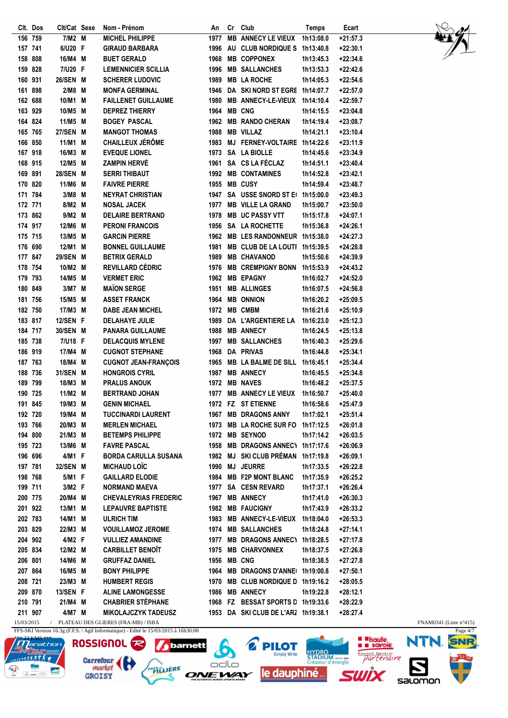|         | Clt. Dos | Clt/Cat Sexe  |   | Nom - Prénom                                         | An          | Cr | Club                                | <b>Temps</b> | Ecart                    |
|---------|----------|---------------|---|------------------------------------------------------|-------------|----|-------------------------------------|--------------|--------------------------|
| 156 759 |          | 7/M2 M        |   | <b>MICHEL PHILIPPE</b>                               | 1977        |    | <b>MB ANNECY LE VIEUX</b>           | 1h13:08.0    | $+21:57.3$               |
| 157 741 |          | 6/U20 F       |   | <b>GIRAUD BARBARA</b>                                | 1996        |    | AU CLUB NORDIQUE S                  | 1h13:40.8    | $+22:30.1$               |
| 158 808 |          | 16/M4 M       |   | <b>BUET GERALD</b>                                   | 1968        |    | <b>MB COPPONEX</b>                  | 1h13:45.3    | $+22:34.6$               |
|         | 159 828  | 7/U20 F       |   | <b>LEMENNICIER SCILLIA</b>                           | 1996        |    | <b>MB SALLANCHES</b>                | 1h13:53.3    | $+22:42.6$               |
|         | 160 931  | 26/SEN M      |   | <b>SCHERER LUDOVIC</b>                               | 1989        |    | <b>MB LA ROCHE</b>                  | 1h14:05.3    | $+22:54.6$               |
|         | 161 898  | 2/M8          | M | <b>MONFA GERMINAL</b>                                | 1946        |    | DA SKINORD ST EGRE 1h14:07.7        |              | $+22:57.0$               |
|         | 162 688  | 10/M1 M       |   | <b>FAILLENET GUILLAUME</b>                           | 1980        |    | <b>MB ANNECY-LE-VIEUX</b>           | 1h14:10.4    | $+22:59.7$               |
| 163 929 |          | 10/M5         | M | <b>DEPREZ THIERRY</b>                                | 1964        |    | <b>MB CNG</b>                       | 1h14:15.5    | $+23:04.8$               |
|         | 164 824  | 11/M5 M       |   | <b>BOGEY PASCAL</b>                                  |             |    | 1962 MB RANDO CHERAN                | 1h14:19.4    | $+23:08.7$               |
|         | 165 765  | <b>27/SEN</b> | M | <b>MANGOT THOMAS</b>                                 | 1988        |    | <b>MB VILLAZ</b>                    | 1h14:21.1    | $+23:10.4$               |
| 166 850 |          | 11/M1         | M | <b>CHAILLEUX JÉRÔME</b>                              | 1983        |    | MJ FERNEY-VOLTAIRE 1h14:22.6        |              | $+23:11.9$               |
| 167 918 |          | 16/M3 M       |   | <b>EVEQUE LIONEL</b>                                 | 1973        |    | <b>SA LA BIOLLE</b>                 | 1h14:45.6    | $+23:34.9$               |
|         | 168 915  | 12/M5 M       |   | <b>ZAMPIN HERVÉ</b>                                  | 1961        |    | SA CS LA FÉCLAZ                     | 1h14:51.1    | $+23:40.4$               |
| 169 891 |          | <b>28/SEN</b> | M | <b>SERRI THIBAUT</b>                                 | 1992        |    | <b>MB CONTAMINES</b>                | 1h14:52.8    | $+23:42.1$               |
| 170 820 |          | 11/M6         | M | <b>FAIVRE PIERRE</b>                                 | 1955        |    | <b>MB CUSY</b>                      | 1h14:59.4    | $+23:48.7$               |
|         | 171 784  | 3/M8          | M | <b>NEYRAT CHRISTIAN</b>                              | 1947        |    | SA USSE SNORD ST E 1h15:00.0        |              | $+23:49.3$               |
| 172 771 |          | 8/M2          | M | <b>NOSAL JACEK</b>                                   | 1977        |    | <b>MB VILLE LA GRAND</b>            | 1h15:00.7    | $+23:50.0$               |
|         | 173 862  | 9/M2          | M | <b>DELAIRE BERTRAND</b>                              | 1978        |    | <b>MB UC PASSY VTT</b>              | 1h15:17.8    | $+24:07.1$               |
|         | 174 917  | 12/M6         | M | <b>PERONI FRANCOIS</b>                               | 1956        |    | <b>SA LA ROCHETTE</b>               | 1h15:36.8    | $+24:26.1$               |
| 175 715 |          | 13/M5         | M | <b>GARCIN PIERRE</b>                                 | 1962        |    | <b>MB LES RANDONNEUR</b>            | 1h15:38.0    | $+24:27.3$               |
| 176 690 |          | 12/M1         | M | <b>BONNEL GUILLAUME</b>                              | 1981        |    | <b>MB CLUB DE LA LOUTI</b>          | 1h15:39.5    | $+24:28.8$               |
|         | 177 847  | <b>29/SEN</b> | M | <b>BETRIX GERALD</b>                                 | 1989        |    | <b>MB CHAVANOD</b>                  | 1h15:50.6    | $+24:39.9$               |
|         | 178 754  | 10/M2 M       |   | <b>REVILLARD CÉDRIC</b>                              | 1976        |    | <b>MB CREMPIGNY BONN</b>            | 1h15:53.9    | $+24:43.2$               |
| 179 793 |          | 14/M5 M       |   | <b>VERMET ERIC</b>                                   | 1962        |    | <b>MB EPAGNY</b>                    | 1h16:02.7    | $+24:52.0$               |
| 180 849 |          | 3/M7 M        |   | <b>MAÏON SERGE</b>                                   | 1951        |    | <b>MB ALLINGES</b>                  | 1h16:07.5    | $+24:56.8$               |
|         | 181 756  | 15/M5         | M | <b>ASSET FRANCK</b>                                  | 1964        |    | <b>MB ONNION</b>                    | 1h16:20.2    | $+25:09.5$               |
| 182 750 |          | 17/M3         | M | <b>DABE JEAN MICHEL</b>                              | 1972        |    | <b>MB CMBM</b>                      | 1h16:21.6    | $+25:10.9$               |
|         | 183 817  | 12/SEN F      |   | <b>DELAHAYE JULIE</b>                                | 1989        |    | DA L'ARGENTIERE LA                  | 1h16:23.0    | $+25:12.3$               |
|         | 184 717  | 30/SEN M      |   | <b>PANARA GUILLAUME</b>                              | 1988        |    | <b>MB ANNECY</b>                    | 1h16:24.5    | $+25:13.8$               |
| 185 738 |          | 7/U18 F       |   | <b>DELACQUIS MYLENE</b>                              |             |    | 1997 MB SALLANCHES                  |              | $+25:29.6$               |
| 186 919 |          | 17/M4 M       |   | <b>CUGNOT STEPHANE</b>                               | 1968        |    | DA PRIVAS                           | 1h16:40.3    | $+25:34.1$               |
| 187 763 |          | 18/M4 M       |   |                                                      |             |    | 1965 MB LA BALME DE SILL            | 1h16:44.8    |                          |
| 188 736 |          | 31/SEN M      |   | <b>CUGNOT JEAN-FRANÇOIS</b><br><b>HONGROIS CYRIL</b> | 1987        |    | <b>MB ANNECY</b>                    | 1h16:45.1    | +25:34.4                 |
|         |          |               |   |                                                      |             |    | 1972 MB NAVES                       | 1h16:45.5    | +25:34.8                 |
| 189 799 |          | 18/M3 M       |   | <b>PRALUS ANOUK</b>                                  |             |    |                                     | 1h16:48.2    | $+25:37.5$<br>$+25:40.0$ |
|         | 190 725  | 11/M2 M       |   | <b>BERTRAND JOHAN</b>                                | 1977        |    | <b>MB ANNECY LE VIEUX</b>           | 1h16:50.7    |                          |
|         | 191 845  | 19/M3 M       |   | <b>GENIN MICHAEL</b>                                 | 1972        |    | <b>FZ ST ETIENNE</b>                | 1h16:58.6    | +25:47.9                 |
|         | 192 720  | 19/M4 M       |   | <b>TUCCINARDI LAURENT</b>                            |             |    | 1967 MB DRAGONS ANNY                | 1h17:02.1    | $+25:51.4$               |
|         | 193 766  | 20/M3 M       |   | <b>MERLEN MICHAEL</b>                                |             |    | 1973 MB LA ROCHE SUR FO 1h17:12.5   |              | $+26:01.8$               |
|         | 194 800  | 21/M3 M       |   | <b>BETEMPS PHILIPPE</b>                              |             |    | 1972 MB SEYNOD                      | 1h17:14.2    | $+26:03.5$               |
|         | 195 723  | 13/M6 M       |   | <b>FAVRE PASCAL</b>                                  |             |    | 1958 MB DRAGONS ANNEC\ 1h17:17.6    |              | $+26:06.9$               |
|         | 196 696  | 4/M1 F        |   | <b>BORDA CARULLA SUSANA</b>                          |             |    | 1982 MJ SKI CLUB PRÉMAN 1h17:19.8   |              | $+26:09.1$               |
|         | 197 781  | 32/SEN M      |   | <b>MICHAUD LOÏC</b>                                  |             |    | 1990 MJ JEURRE                      | 1h17:33.5    | $+26:22.8$               |
|         | 198 768  | 5/M1 F        |   | <b>GAILLARD ELODIE</b>                               |             |    | 1984 MB F2P MONT BLANC              | 1h17:35.9    | $+26:25.2$               |
|         | 199 711  | 3/M2 F        |   | <b>NORMAND MAEVA</b>                                 |             |    | 1977 SA CESN REVARD                 | 1h17:37.1    | $+26:26.4$               |
|         | 200 775  | 20/M4 M       |   | <b>CHEVALEYRIAS FREDERIC</b>                         |             |    | 1967 MB ANNECY                      | 1h17:41.0    | $+26:30.3$               |
|         | 201 922  | 13/M1 M       |   | <b>LEPAUVRE BAPTISTE</b>                             |             |    | 1982 MB FAUCIGNY                    | 1h17:43.9    | $+26:33.2$               |
| 202 783 |          | 14/M1 M       |   | <b>ULRICH TIM</b>                                    |             |    | 1983 MB ANNECY-LE-VIEUX 1h18:04.0   |              | $+26:53.3$               |
|         | 203 829  | 22/M3 M       |   | <b>VOUILLAMOZ JEROME</b>                             |             |    | 1974 MB SALLANCHES                  | 1h18:24.8    | $+27:14.1$               |
|         | 204 902  | 4/M2 F        |   | <b>VULLIEZ AMANDINE</b>                              |             |    | 1977 MB DRAGONS ANNEC\ 1h18:28.5    |              | +27:17.8                 |
| 205 834 |          | 12/M2 M       |   | <b>CARBILLET BENOIT</b>                              |             |    | 1975 MB CHARVONNEX                  | 1h18:37.5    | $+27:26.8$               |
| 206 801 |          | 14/M6 M       |   | <b>GRUFFAZ DANIEL</b>                                | 1956 MB CNG |    |                                     | 1h18:38.5    | +27:27.8                 |
| 207 864 |          | 16/M5 M       |   | <b>BONY PHILIPPE</b>                                 |             |    | 1964 MB DRAGONS D'ANNE 1h19:00.8    |              | +27:50.1                 |
| 208 721 |          | 23/M3 M       |   | <b>HUMBERT REGIS</b>                                 |             |    | 1970 MB CLUB NORDIQUE D 1h19:16.2   |              | $+28:05.5$               |
| 209 870 |          | 13/SEN F      |   | <b>ALINE LAMONGESSE</b>                              |             |    | 1986 MB ANNECY                      | 1h19:22.8    | $+28:12.1$               |
| 210 791 |          | 21/M4 M       |   | <b>CHABRIER STÉPHANE</b>                             |             |    | 1968 FZ BESSAT SPORTS D 1h19:33.6   |              | +28:22.9                 |
| 211 907 |          | 4/M7 M        |   | <b>MIKOLAJCZYK TADEUSZ</b>                           |             |    | 1953 DA SKI CLUB DE L'ARZ 1h19:38.1 |              | +28:27.4                 |



15/03/2015 / PLATEAU DES GLIERES (FRA-MB) / ISBA FOR A FORMOSAL ESTADO ANTENERATION EN AMO341 (Liste n°415) FFS-SKI Version 16.3g (F.F.S. / Agil Informatique) - Edité le 15/03/2015 à 16h30:08

**GROISY** 



*J* barnett Carrefour PAYSILIERE

6 **PILOT**  $\Box$ ONEWAY le dauphiné

HYDRO<br>STADIUM GRIM OF<br>Créateur d'énergie

**SWİX** 

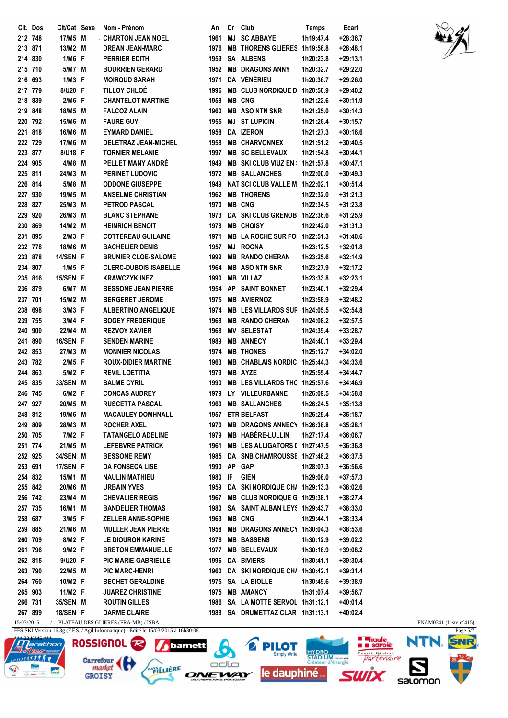|         | Clt. Dos | Clt/Cat Sexe | Nom - Prénom                                                            | An          | Cr        | Club                                 | Temps     | Ecart      |
|---------|----------|--------------|-------------------------------------------------------------------------|-------------|-----------|--------------------------------------|-----------|------------|
| 212 748 |          | 17/M5 M      | <b>CHARTON JEAN NOEL</b>                                                | 1961        | <b>MJ</b> | <b>SC ABBAYE</b>                     | 1h19:47.4 | $+28:36.7$ |
| 213 871 |          | 13/M2 M      | <b>DREAN JEAN-MARC</b>                                                  | 1976        |           | MB THORENS GLIERES 1h19:58.8         |           | $+28:48.1$ |
| 214 830 |          | 1/M6 F       | <b>PERRIER EDITH</b>                                                    | 1959        |           | <b>SA ALBENS</b>                     | 1h20:23.8 | $+29:13.1$ |
| 215 710 |          | 5/M7 M       | <b>BOURRIEN GERARD</b>                                                  | 1952        |           | <b>MB DRAGONS ANNY</b>               | 1h20:32.7 | $+29:22.0$ |
| 216 693 |          | $1/M3$ F     | <b>MOIROUD SARAH</b>                                                    | 1971        |           | DA VÉNÉRIEU                          | 1h20:36.7 | $+29:26.0$ |
| 217 779 |          | 8/U20 F      | <b>TILLOY CHLOÉ</b>                                                     | 1996        |           | MB CLUB NORDIQUE D 1h20:50.9         |           | $+29:40.2$ |
| 218 839 |          | 2/M6 F       | <b>CHANTELOT MARTINE</b>                                                | 1958        |           | <b>MB CNG</b>                        | 1h21:22.6 | $+30:11.9$ |
| 219 848 |          | 18/M5 M      | <b>FALCOZ ALAIN</b>                                                     | 1960        |           | <b>MB ASO NTN SNR</b>                | 1h21:25.0 | +30:14.3   |
|         | 220 792  | 15/M6 M      | <b>FAURE GUY</b>                                                        | 1955        |           | <b>MJ ST LUPICIN</b>                 | 1h21:26.4 | $+30:15.7$ |
|         | 221 818  | 16/M6 M      | <b>EYMARD DANIEL</b>                                                    | 1958        |           | <b>DA IZERON</b>                     | 1h21:27.3 | $+30:16.6$ |
| 222 729 |          | 17/M6 M      | <b>DELETRAZ JEAN-MICHEL</b>                                             | 1958        |           | <b>MB CHARVONNEX</b>                 | 1h21:51.2 | $+30:40.5$ |
| 223 877 |          | 8/U18 F      | <b>TORNIER MELANIE</b>                                                  | 1997        |           | <b>MB SC BELLEVAUX</b>               | 1h21:54.8 | $+30:44.1$ |
|         | 224 905  | 4/M8 M       | <b>PELLET MANY ANDRE</b>                                                | 1949        |           | <b>MB SKI CLUB VIUZ EN</b>           | 1h21:57.8 | $+30:47.1$ |
| 225 811 |          | 24/M3 M      | <b>PERINET LUDOVIC</b>                                                  | 1972        |           | <b>MB SALLANCHES</b>                 | 1h22:00.0 | $+30:49.3$ |
|         | 226 814  | 5/M8 M       | <b>ODDONE GIUSEPPE</b>                                                  | 1949        |           | NAT SCI CLUB VALLE M 1h22:02.1       |           | $+30:51.4$ |
| 227 930 |          | 19/M5 M      | <b>ANSELME CHRISTIAN</b>                                                | 1962        |           | <b>MB THORENS</b>                    | 1h22:32.0 | $+31:21.3$ |
| 228 827 |          | 25/M3 M      | <b>PETROD PASCAL</b>                                                    | 1970        |           | <b>MB CNG</b>                        | 1h22:34.5 | $+31:23.8$ |
| 229 920 |          | 26/M3 M      | <b>BLANC STEPHANE</b>                                                   | 1973        |           | DA SKI CLUB GRENOB 1h22:36.6         |           | $+31:25.9$ |
| 230 869 |          | 14/M2 M      | <b>HEINRICH BENOIT</b>                                                  | 1978        |           | <b>MB CHOISY</b>                     | 1h22:42.0 | $+31:31.3$ |
|         | 231 895  | 2/M3 F       | <b>COTTEREAU GUILAINE</b>                                               | 1971        |           | MB LA ROCHE SUR FO 1h22:51.3         |           | $+31:40.6$ |
| 232 778 |          | 18/M6 M      | <b>BACHELIER DENIS</b>                                                  | 1957        | MJ        | <b>ROGNA</b>                         | 1h23:12.5 | $+32:01.8$ |
| 233 878 |          | 14/SEN F     | <b>BRUNIER CLOE-SALOME</b>                                              | 1992        |           | <b>MB RANDO CHERAN</b>               | 1h23:25.6 | +32:14.9   |
| 234 807 |          | 1/M5 F       | <b>CLERC-DUBOIS ISABELLE</b>                                            | 1964        |           | <b>MB ASO NTN SNR</b>                | 1h23:27.9 | $+32:17.2$ |
|         | 235 816  | 15/SEN F     | <b>KRAWCZYK INEZ</b>                                                    | 1990        |           | <b>MB VILLAZ</b>                     | 1h23:33.8 | $+32:23.1$ |
| 236 879 |          | 6/M7 M       | <b>BESSONE JEAN PIERRE</b>                                              | 1954        |           | AP SAINT BONNET                      | 1h23:40.1 | +32:29.4   |
| 237 701 |          | 15/M2 M      | <b>BERGERET JEROME</b>                                                  | 1975        |           | <b>MB AVIERNOZ</b>                   | 1h23:58.9 | $+32:48.2$ |
| 238     | 698      | 3/M3 F       | <b>ALBERTINO ANGELIQUE</b>                                              | 1974        |           | MB LES VILLARDS SUF 1h24:05.5        |           | $+32:54.8$ |
|         | 239 755  | 3/M4 F       | <b>BOGEY FREDERIQUE</b>                                                 | 1968        |           | <b>MB RANDO CHERAN</b>               | 1h24:08.2 | +32:57.5   |
| 240 900 |          | 22/M4 M      | <b>REZVOY XAVIER</b>                                                    | 1968        |           | <b>MV SELESTAT</b>                   | 1h24:39.4 | +33:28.7   |
| 241 890 |          | 16/SEN F     | <b>SENDEN MARINE</b>                                                    | 1989        |           | <b>MB ANNECY</b>                     | 1h24:40.1 | +33:29.4   |
|         | 242 853  | 27/M3 M      | <b>MONNIER NICOLAS</b>                                                  | 1974        |           | <b>MB THONES</b>                     | 1h25:12.7 | $+34:02.0$ |
|         | 243 782  | 2/M5 F       | <b>ROUX-DIDIER MARTINE</b>                                              | 1963        |           | MB CHABLAIS NORDIC 1h25:44.3         |           | $+34:33.6$ |
| 244 863 |          | 5/M2 F       | <b>REVIL LOETITIA</b>                                                   | 1979        |           | <b>MB AYZE</b>                       | 1h25:55.4 | +34:44.7   |
| 245 835 |          | 33/SEN M     | <b>BALME CYRIL</b>                                                      | 1990        |           | MB LES VILLARDS THC 1h25:57.6        |           | +34:46.9   |
|         | 246 745  | 6/M2 F       | <b>CONCAS AUDREY</b>                                                    | 1979        |           | LY VILLEURBANNE                      | 1h26:09.5 | +34:58.8   |
| 247 927 |          | 20/M5 M      | <b>RUSCETTA PASCAL</b>                                                  | 1960        |           | <b>MB SALLANCHES</b>                 | 1h26:24.5 | $+35:13.8$ |
|         | 248 812  | 19/M6 M      | <b>MACAULEY DOMHNALL</b>                                                |             |           | 1957 ETR BELFAST                     | 1h26:29.4 | +35:18.7   |
|         | 249 809  | 28/M3 M      | <b>ROCHER AXEL</b>                                                      |             |           | 1970 MB DRAGONS ANNEC\ 1h26:38.8     |           | +35:28.1   |
|         | 250 705  | 7/M2 F       | <b>TATANGELO ADELINE</b>                                                |             |           | 1979 MB HABÈRE-LULLIN                | 1h27:17.4 | $+36:06.7$ |
|         | 251 774  | 21/M5 M      | <b>LEFEBVRE PATRICK</b>                                                 |             |           | 1961 MB LES ALLIGATORS I 1h27:47.5   |           | $+36:36.8$ |
|         | 252 925  | 34/SEN M     | <b>BESSONE REMY</b>                                                     |             |           | 1985 DA SNB CHAMROUSSE 1h27:48.2     |           | $+36:37.5$ |
|         | 253 691  | 17/SEN F     | <b>DA FONSECA LISE</b>                                                  | 1990 AP GAP |           |                                      | 1h28:07.3 | $+36:56.6$ |
|         | 254 832  | 15/M1 M      | <b>NAULIN MATHIEU</b>                                                   | 1980 IF     |           | <b>GIEN</b>                          | 1h29:08.0 | $+37:57.3$ |
|         | 255 842  | 20/M6 M      | <b>URBAIN YVES</b>                                                      |             |           | 1959 DA SKI NORDIQUE CH/ 1h29:13.3   |           | +38:02.6   |
|         | 256 742  | 23/M4 M      | <b>CHEVALIER REGIS</b>                                                  |             |           | 1967 MB CLUB NORDIQUE G 1h29:38.1    |           | $+38:27.4$ |
|         | 257 735  | 16/M1 M      | <b>BANDELIER THOMAS</b>                                                 |             |           | 1980 SA SAINT ALBAN LEY! 1h29:43.7   |           | +38:33.0   |
|         | 258 687  | 3/M5 F       | <b>ZELLER ANNE-SOPHIE</b>                                               | 1963 MB CNG |           |                                      | 1h29:44.1 | +38:33.4   |
|         |          |              |                                                                         |             |           |                                      |           |            |
|         | 259 885  | 21/M6 M      | <b>MULLER JEAN PIERRE</b>                                               |             |           | 1958 MB DRAGONS ANNEC\ 1h30:04.3     |           | $+38:53.6$ |
|         | 260 709  | 8/M2 F       | LE DIOURON KARINE                                                       |             |           | 1976 MB BASSENS<br>1977 MB BELLEVAUX | 1h30:12.9 | $+39:02.2$ |
|         | 261 796  | 9/M2 F       | <b>BRETON EMMANUELLE</b><br>PIC MARIE-GABRIELLE                         |             |           |                                      | 1h30:18.9 | $+39:08.2$ |
|         | 262 815  | 9/U20 F      |                                                                         |             |           | 1996 DA BIVIERS                      | 1h30:41.1 | $+39:30.4$ |
| 263 790 |          | 22/M5 M      | <b>PIC MARC-HENRI</b>                                                   |             |           | 1960 DA SKI NORDIQUE CH/ 1h30:42.1   |           | $+39:31.4$ |
| 264 760 |          | 10/M2 F      | <b>BECHET GERALDINE</b>                                                 |             |           | 1975 SA LA BIOLLE                    | 1h30:49.6 | $+39:38.9$ |
|         | 265 903  | 11/M2 F      | <b>JUAREZ CHRISTINE</b>                                                 |             |           | 1975 MB AMANCY                       | 1h31:07.4 | +39:56.7   |
| 266 731 |          | 35/SEN M     | ROUTIN GILLES                                                           |             |           | 1986 SA LA MOTTE SERVOL 1h31:12.1    |           | $+40:01.4$ |
|         | 267 899  | 18/SEN F     | <b>DARME CLAIRE</b><br>15/03/2015 / PLATEAU DES GLIERES (FRA-MB) / ISBA |             |           | 1988 SA DRUMETTAZ CLAR 1h31:13.1     |           | +40:02.4   |
|         |          |              |                                                                         |             |           |                                      |           |            |



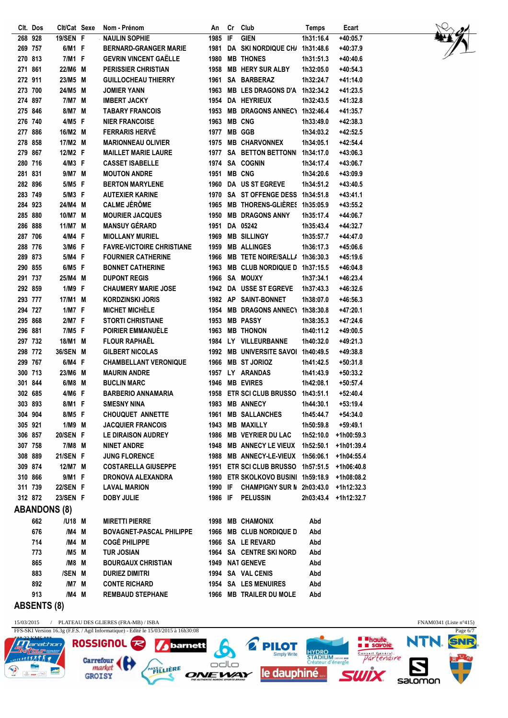|         | Clt. Dos           | Clt/Cat Sexe        |   | Nom - Prénom                     | An      | Cr             | Club                               | <b>Temps</b> | Ecart      |
|---------|--------------------|---------------------|---|----------------------------------|---------|----------------|------------------------------------|--------------|------------|
|         | 268 928            | 19/SEN F            |   | <b>NAULIN SOPHIE</b>             | 1985    | $\overline{F}$ | <b>GIEN</b>                        | 1h31:16.4    | $+40:05.7$ |
|         | 269 757            | 6/M1 F              |   | <b>BERNARD-GRANGER MARIE</b>     | 1981    |                | <b>DA SKI NORDIQUE CH/</b>         | 1h31:48.6    | +40:37.9   |
|         | 270 813            | 7/M1 F              |   | <b>GEVRIN VINCENT GAËLLE</b>     | 1980    |                | <b>MB THONES</b>                   | 1h31:51.3    | $+40:40.6$ |
|         | 271 861            | 22/M6 M             |   | <b>PERISSIER CHRISTIAN</b>       | 1958    |                | <b>MB HERY SUR ALBY</b>            | 1h32:05.0    | $+40:54.3$ |
| 272 911 |                    | 23/M5 M             |   | <b>GUILLOCHEAU THIERRY</b>       | 1961    |                | SA BARBERAZ                        | 1h32:24.7    | +41:14.0   |
|         | 273 700            | 24/M5               | M | <b>JOMIER YANN</b>               | 1963    |                | <b>MB LES DRAGONS D'A</b>          | 1h32:34.2    | $+41:23.5$ |
|         | 274 897            | 7/M7 M              |   | <b>IMBERT JACKY</b>              |         |                | 1954 DA HEYRIEUX                   | 1h32:43.5    | +41:32.8   |
|         | 275 846            | 8/M7                | M | <b>TABARY FRANCOIS</b>           | 1953    |                | MB DRAGONS ANNEC\ 1h32:46.4        |              | +41:35.7   |
|         | 276 740            | 4/M5 F              |   | <b>NIER FRANCOISE</b>            | 1963    |                | <b>MB CNG</b>                      | 1h33:49.0    | $+42:38.3$ |
|         | 277 886            | 16/M2 M             |   | <b>FERRARIS HERVÉ</b>            | 1977    |                | <b>MB GGB</b>                      | 1h34:03.2    | +42:52.5   |
| 278 858 |                    | 17/M2 M             |   | <b>MARIONNEAU OLIVIER</b>        | 1975    |                | <b>MB CHARVONNEX</b>               | 1h34:05.1    | $+42:54.4$ |
|         | 279 867            | 12/M2 F             |   | <b>MAILLET MARIE LAURE</b>       | 1977    |                | <b>SA BETTON BETTONN</b>           | 1h34:17.0    | $+43:06.3$ |
|         | 280 716            | 4/M3 F              |   | <b>CASSET ISABELLE</b>           | 1974    |                | <b>SA COGNIN</b>                   | 1h34:17.4    | +43:06.7   |
|         | 281 831            | 9/M7 M              |   | <b>MOUTON ANDRE</b>              | 1951    |                | <b>MB CNG</b>                      | 1h34:20.6    | +43:09.9   |
|         | 282 896            | 5/M5 F              |   | <b>BERTON MARYLENE</b>           | 1960    |                | <b>DA US ST EGREVE</b>             | 1h34:51.2    | $+43:40.5$ |
|         | 283 749            | 5/M3 F              |   | <b>AUTEXIER KARINE</b>           | 1970    |                | SA ST OFFENGE DESS                 | 1h34:51.8    | $+43:41.1$ |
|         | 284 923            | 24/M4               | M | <b>CALME JÉRÔME</b>              | 1965    |                | <b>MB THORENS-GLIÈRES</b>          | 1h35:05.9    | $+43:55.2$ |
|         | 285 880            | 10/M7 M             |   | <b>MOURIER JACQUES</b>           | 1950    |                | <b>MB DRAGONS ANNY</b>             | 1h35:17.4    | $+44:06.7$ |
|         | 286 888            | 11/M7 M             |   | <b>MANSUY GÉRARD</b>             | 1951    |                | DA 05242                           | 1h35:43.4    | $+44:32.7$ |
|         | 287 706            | 4/M4 F              |   | <b>MIOLLANY MURIEL</b>           | 1969    |                | <b>MB SILLINGY</b>                 | 1h35:57.7    | $+44:47.0$ |
|         | 288 776            | 3/M6 F              |   | <b>FAVRE-VICTOIRE CHRISTIANE</b> | 1959    |                | <b>MB ALLINGES</b>                 | 1h36:17.3    | +45:06.6   |
|         | 289 873            | 5/M4 F              |   | <b>FOURNIER CATHERINE</b>        | 1966    |                | <b>MB TETE NOIRE/SALL/</b>         | 1h36:30.3    | $+45:19.6$ |
|         | 290 855            | 6/M5 F              |   | <b>BONNET CATHERINE</b>          | 1963    |                | <b>MB CLUB NORDIQUE D</b>          | 1h37:15.5    | $+46:04.8$ |
|         | 291 737            | 25/M4               | M | <b>DUPONT REGIS</b>              | 1966    |                | SA MOUXY                           | 1h37:34.1    | $+46:23.4$ |
| 292 859 |                    | 1/M9 F              |   | <b>CHAUMERY MARIE JOSE</b>       | 1942    |                | DA USSE ST EGREVE                  | 1h37:43.3    | +46:32.6   |
|         | 293 777            | 17/M1 M             |   | <b>KORDZINSKI JORIS</b>          |         |                | 1982 AP SAINT-BONNET               | 1h38:07.0    | $+46:56.3$ |
|         | 294 727            | 1/M7 F              |   | <b>MICHET MICHELE</b>            | 1954    |                | <b>MB DRAGONS ANNECT</b>           | 1h38:30.8    | $+47:20.1$ |
|         | 295 868            | 2/M7 F              |   | <b>STORTI CHRISTIANE</b>         | 1953    |                | <b>MB PASSY</b>                    | 1h38:35.3    | $+47:24.6$ |
|         | 296 881            | 7/M5 F              |   | <b>POIRIER EMMANUÉLE</b>         | 1963    |                | <b>MB THONON</b>                   | 1h40:11.2    | +49:00.5   |
|         | 297 732            | 18/M1               | M | <b>FLOUR RAPHAËL</b>             |         |                | 1984 LY VILLEURBANNE               | 1h40:32.0    | +49:21.3   |
|         | 298 772            | <b>36/SEN</b>       | M | <b>GILBERT NICOLAS</b>           | 1992    |                | <b>MB UNIVERSITE SAVOL</b>         | 1h40:49.5    | +49:38.8   |
|         | 299 767            | 6/M4 F              |   | <b>CHAMBELLANT VERONIQUE</b>     | 1966    |                | <b>MB ST JORIOZ</b>                | 1h41:42.5    | $+50:31.8$ |
|         | 300 713            | 23/M6               | M | <b>MAURIN ANDRE</b>              |         |                | 1957 LY ARANDAS                    | 1h41:43.9    | $+50:33.2$ |
|         | 301 844            | 6/M8                | M | <b>BUCLIN MARC</b>               | 1946    |                | <b>MB EVIRES</b>                   | 1h42:08.1    | +50:57.4   |
|         | 302 685            | 4/M6 F              |   | <b>BARBERIO ANNAMARIA</b>        | 1958    |                | <b>ETR SCI CLUB BRUSSO</b>         | 1h43:51.1    | $+52:40.4$ |
|         | 303 893            | 8/M1 F              |   | <b>SMESNY NINA</b>               | 1983    |                | <b>MB ANNECY</b>                   | 1h44:30.1    | $+53:19.4$ |
|         | 304 904            | 8/M5 F              |   | <b>CHOUQUET ANNETTE</b>          |         |                | 1961 MB SALLANCHES                 | 1h45:44.7    | $+54:34.0$ |
|         | 305 921            | 1/M9 M              |   | <b>JACQUIER FRANCOIS</b>         |         |                | 1943 MB MAXILLY                    | 1h50:59.8    | +59:49.1   |
|         | 306 857            | 20/SEN F            |   | LE DIRAISON AUDREY               |         |                | 1986 MB VEYRIER DU LAC             | 1h52:10.0    | +1h00:59.3 |
|         | 307 758            | 7/M8 M              |   | <b>NINET ANDRE</b>               |         |                | 1948 MB ANNECY LE VIEUX 1h52:50.1  |              | +1h01:39.4 |
|         | 308 889            | 21/SEN F            |   | <b>JUNG FLORENCE</b>             |         |                | 1988 MB ANNECY-LE-VIEUX 1h56:06.1  |              | +1h04:55.4 |
|         | 309 874            | 12/M7 M             |   | <b>COSTARELLA GIUSEPPE</b>       |         |                | 1951 ETR SCI CLUB BRUSSO 1h57:51.5 |              | +1h06:40.8 |
|         | 310 866            | 9/M1 F              |   | DRONOVA ALEXANDRA                |         |                | 1980 ETR SKOLKOVO BUSINI 1h59:18.9 |              | +1h08:08.2 |
|         | 311 739            | 22/SEN F            |   | <b>LAVAL MARION</b>              | 1990 IF |                | CHAMPIGNY SUR N 2h03:43.0          |              | +1h12:32.3 |
|         | 312 872            | 23/SEN F            |   | <b>DOBY JULIE</b>                | 1986 IF |                | <b>PELUSSIN</b>                    | 2h03:43.4    | +1h12:32.7 |
|         |                    | <b>ABANDONS (8)</b> |   |                                  |         |                |                                    |              |            |
|         | 662                | /U18 M              |   | <b>MIRETTI PIERRE</b>            |         |                | 1998 MB CHAMONIX                   | Abd          |            |
|         | 676                | /M4 M               |   | <b>BOVAGNET-PASCAL PHILIPPE</b>  |         |                | 1966 MB CLUB NORDIQUE D            | Abd          |            |
|         | 714                | /M4 M               |   | <b>COGÉ PHILIPPE</b>             |         |                | 1966 SA LE REVARD                  | Abd          |            |
|         | 773                | /M5 M               |   | <b>TUR JOSIAN</b>                |         |                | 1964 SA CENTRE SKI NORD            | Abd          |            |
|         | 865                | /M8 M               |   | <b>BOURGAUX CHRISTIAN</b>        |         |                | 1949 NAT GENEVE                    | Abd          |            |
|         | 883                | /SEN M              |   | <b>DURIEZ DIMITRI</b>            |         |                | 1994 SA VAL CENIS                  | Abd          |            |
|         | 892                | /M7 M               |   | <b>CONTE RICHARD</b>             |         |                | 1954 SA LES MENUIRES               | Abd          |            |
|         | 913                | /M4 M               |   | <b>REMBAUD STEPHANE</b>          |         |                | 1966 MB TRAILER DU MOLE            | Abd          |            |
|         | <b>ABSENTS (8)</b> |                     |   |                                  |         |                |                                    |              |            |
|         |                    |                     |   |                                  |         |                |                                    |              |            |



 $\mathcal{D}$